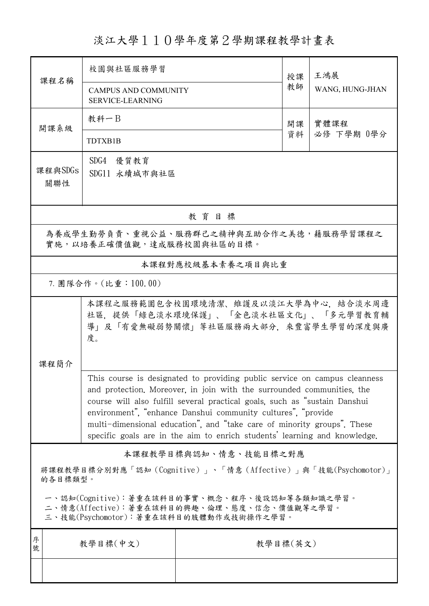## 淡江大學110學年度第2學期課程教學計畫表

| 課程名稱                                                                                                                                   | 校園與社區服務學習                                                                                                                                                                                                                                                                                                                                                                                                                                                 |                   | 授課 | 王鴻展                |  |  |
|----------------------------------------------------------------------------------------------------------------------------------------|-----------------------------------------------------------------------------------------------------------------------------------------------------------------------------------------------------------------------------------------------------------------------------------------------------------------------------------------------------------------------------------------------------------------------------------------------------------|-------------------|----|--------------------|--|--|
|                                                                                                                                        | <b>CAMPUS AND COMMUNITY</b><br><b>SERVICE-LEARNING</b>                                                                                                                                                                                                                                                                                                                                                                                                    |                   | 教師 | WANG, HUNG-JHAN    |  |  |
| 開課系級                                                                                                                                   | 教科一B                                                                                                                                                                                                                                                                                                                                                                                                                                                      |                   | 開課 | 實體課程<br>必修 下學期 0學分 |  |  |
|                                                                                                                                        | TDTXB1B                                                                                                                                                                                                                                                                                                                                                                                                                                                   |                   | 資料 |                    |  |  |
| 課程與SDGs<br>關聯性                                                                                                                         | SDG4 優質教育<br>SDG11 永續城市與社區                                                                                                                                                                                                                                                                                                                                                                                                                                |                   |    |                    |  |  |
| 教育目標                                                                                                                                   |                                                                                                                                                                                                                                                                                                                                                                                                                                                           |                   |    |                    |  |  |
| 為養成學生勤勞負責、重視公益、服務群己之精神與互助合作之美德,藉服務學習課程之<br>實施,以培養正確價值觀,達成服務校園與社區的目標。                                                                   |                                                                                                                                                                                                                                                                                                                                                                                                                                                           |                   |    |                    |  |  |
|                                                                                                                                        |                                                                                                                                                                                                                                                                                                                                                                                                                                                           | 本課程對應校級基本素養之項目與比重 |    |                    |  |  |
| 7. 團隊合作。(比重:100.00)                                                                                                                    |                                                                                                                                                                                                                                                                                                                                                                                                                                                           |                   |    |                    |  |  |
|                                                                                                                                        | 本課程之服務範圍包含校園環境清潔、維護及以淡江大學為中心,結合淡水周邊<br>社區,提供「綠色淡水環境保護」、「金色淡水社區文化」、「多元學習教育輔<br>導」及「有愛無礙弱勢關懷」等社區服務兩大部分,來豐富學生學習的深度與廣<br>度。                                                                                                                                                                                                                                                                                                                                   |                   |    |                    |  |  |
| 課程簡介                                                                                                                                   |                                                                                                                                                                                                                                                                                                                                                                                                                                                           |                   |    |                    |  |  |
|                                                                                                                                        | This course is designated to providing public service on campus cleanness<br>and protection. Moreover, in join with the surrounded communities, the<br>course will also fulfill several practical goals, such as "sustain Danshui<br>environment", "enhance Danshui community cultures", "provide<br>multi-dimensional education", and "take care of minority groups". These<br>specific goals are in the aim to enrich students' learning and knowledge. |                   |    |                    |  |  |
| 本課程教學目標與認知、情意、技能目標之對應                                                                                                                  |                                                                                                                                                                                                                                                                                                                                                                                                                                                           |                   |    |                    |  |  |
| 將課程教學目標分別對應「認知 (Cognitive)」、「情意 (Affective)」與「技能(Psychomotor)」<br>的各目標類型。                                                              |                                                                                                                                                                                                                                                                                                                                                                                                                                                           |                   |    |                    |  |  |
| 一、認知(Cognitive):著重在該科目的事實、概念、程序、後設認知等各類知識之學習。<br>二、情意(Affective):著重在該科目的興趣、倫理、態度、信念、價值觀等之學習。<br>三、技能(Psychomotor):著重在該科目的肢體動作或技術操作之學習。 |                                                                                                                                                                                                                                                                                                                                                                                                                                                           |                   |    |                    |  |  |
| 序<br>號                                                                                                                                 | 教學目標(中文)                                                                                                                                                                                                                                                                                                                                                                                                                                                  | 教學目標(英文)          |    |                    |  |  |
|                                                                                                                                        |                                                                                                                                                                                                                                                                                                                                                                                                                                                           |                   |    |                    |  |  |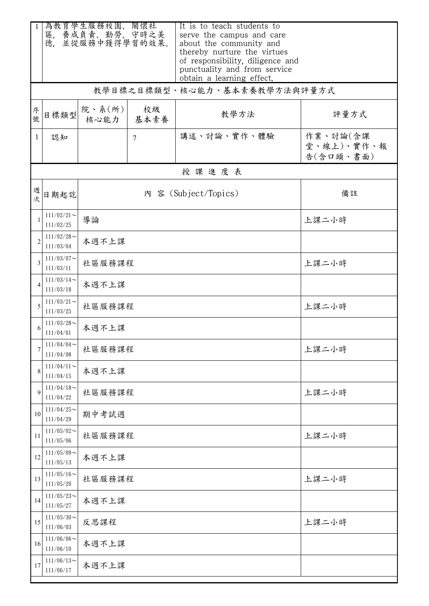|                | 為教育學生服務校園、關懷社<br>區, 養成負責、勤勞、守時之美<br>並從服務中獲得學習的效果。<br>德. |                      |            | It is to teach students to<br>serve the campus and care<br>about the community and                                           |                                     |  |
|----------------|---------------------------------------------------------|----------------------|------------|------------------------------------------------------------------------------------------------------------------------------|-------------------------------------|--|
|                |                                                         |                      |            | thereby nurture the virtues<br>of responsibility, diligence and<br>punctuality and from service<br>obtain a learning effect. |                                     |  |
|                |                                                         |                      |            | 教學目標之目標類型、核心能力、基本素養教學方法與評量方式                                                                                                 |                                     |  |
| 序號             | 目標類型                                                    | 院、系(所)<br>核心能力       | 校級<br>基本素養 | 教學方法                                                                                                                         | 評量方式                                |  |
| 1              | 認知                                                      |                      | 7          | 講述、討論、實作、體驗                                                                                                                  | 作業、討論(含課<br>堂、線上)、實作、報<br>告(含口頭、書面) |  |
|                |                                                         |                      |            | 授課進度表                                                                                                                        |                                     |  |
| 週次             | 日期起訖                                                    | 內 容 (Subject/Topics) |            |                                                                                                                              | 備註                                  |  |
|                | $111/02/21$ ~<br>111/02/25                              | 導論                   |            |                                                                                                                              | 上課二小時                               |  |
| $\overline{2}$ | $111/02/28$ ~<br>111/03/04                              | 本週不上課                |            |                                                                                                                              |                                     |  |
| 3              | $111/03/07$ ~<br>111/03/11                              | 社區服務課程               |            |                                                                                                                              | 上課二小時                               |  |
|                | $111/03/14$ ~<br>111/03/18                              | 本週不上課                |            |                                                                                                                              |                                     |  |
| 5              | $111/03/21$ ~<br>111/03/25                              | 社區服務課程               |            |                                                                                                                              | 上課二小時                               |  |
|                | $111/03/28$ ~<br>111/04/01                              | 本週不上課                |            |                                                                                                                              |                                     |  |
| 7              | $111/04/04\!\sim$<br>111/04/08                          | 社區服務課程               | 上課二小時      |                                                                                                                              |                                     |  |
| 8              | $111/04/11$ ~<br>111/04/15                              | 本週不上課                |            |                                                                                                                              |                                     |  |
| 9              | $111/04/18$ ~<br>111/04/22                              | 上課二小時<br>社區服務課程      |            |                                                                                                                              |                                     |  |
| 10             | $111/04/25$ ~<br>111/04/29                              | 期中考試週                |            |                                                                                                                              |                                     |  |
| 11             | $111/05/02$ ~<br>111/05/06                              | 上課二小時<br>社區服務課程      |            |                                                                                                                              |                                     |  |
| 12             | $111/05/09$ ~<br>111/05/13                              | 本週不上課                |            |                                                                                                                              |                                     |  |
| 13             | $111/05/16$ ~<br>111/05/20                              | 上課二小時<br>社區服務課程      |            |                                                                                                                              |                                     |  |
| 14             | $111/05/23$ ~<br>111/05/27                              | 本週不上課                |            |                                                                                                                              |                                     |  |
| 15             | $111/05/30$ ~<br>111/06/03                              | 上課二小時<br>反思課程        |            |                                                                                                                              |                                     |  |
| 16             | $111/06/06$ ~<br>111/06/10                              | 本週不上課                |            |                                                                                                                              |                                     |  |
| 17             | $111/06/13$ ~<br>111/06/17                              | 本週不上課                |            |                                                                                                                              |                                     |  |